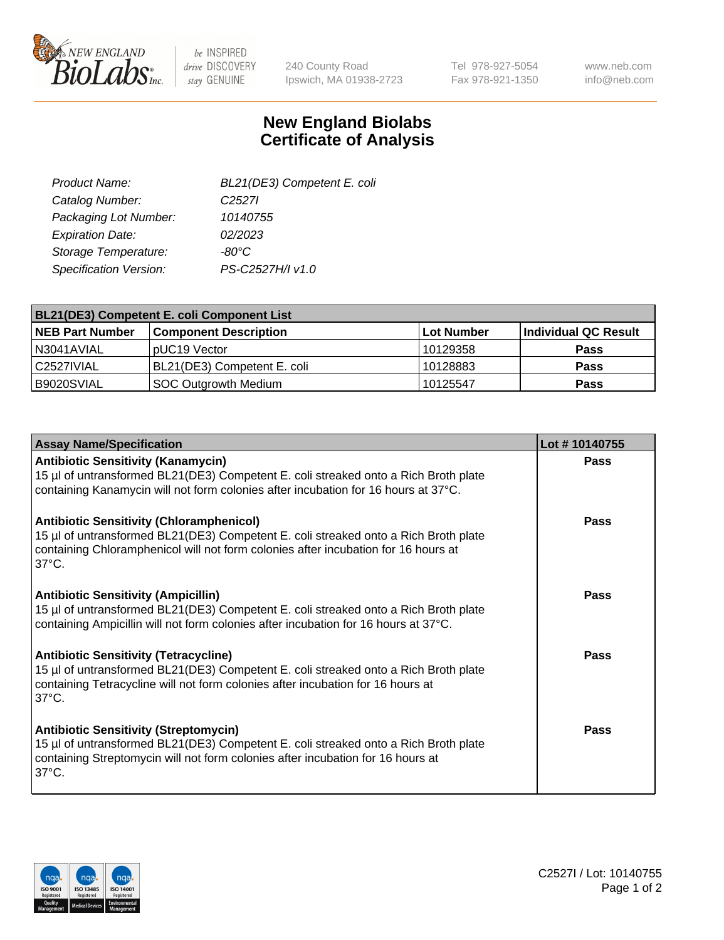

 $be$  INSPIRED drive DISCOVERY stay GENUINE

240 County Road Ipswich, MA 01938-2723 Tel 978-927-5054 Fax 978-921-1350

www.neb.com info@neb.com

## **New England Biolabs Certificate of Analysis**

| BL21(DE3) Competent E. coli |
|-----------------------------|
| C <sub>2527</sub>           |
| 10140755                    |
| 02/2023                     |
| $-80^{\circ}$ C             |
| PS-C2527H/I v1.0            |
|                             |

| <b>BL21(DE3) Competent E. coli Component List</b> |                              |             |                      |  |
|---------------------------------------------------|------------------------------|-------------|----------------------|--|
| <b>NEB Part Number</b>                            | <b>Component Description</b> | ∣Lot Number | Individual QC Result |  |
| N3041AVIAL                                        | DUC <sub>19</sub> Vector     | 10129358    | <b>Pass</b>          |  |
| l C2527IVIAL                                      | BL21(DE3) Competent E. coli  | 10128883    | <b>Pass</b>          |  |
| B9020SVIAL                                        | SOC Outgrowth Medium         | 10125547    | <b>Pass</b>          |  |

| <b>Assay Name/Specification</b>                                                                                                                                                                                                                 | Lot #10140755 |
|-------------------------------------------------------------------------------------------------------------------------------------------------------------------------------------------------------------------------------------------------|---------------|
| <b>Antibiotic Sensitivity (Kanamycin)</b><br>15 µl of untransformed BL21(DE3) Competent E. coli streaked onto a Rich Broth plate<br>containing Kanamycin will not form colonies after incubation for 16 hours at 37°C.                          | <b>Pass</b>   |
| <b>Antibiotic Sensitivity (Chloramphenicol)</b><br>15 µl of untransformed BL21(DE3) Competent E. coli streaked onto a Rich Broth plate<br>containing Chloramphenicol will not form colonies after incubation for 16 hours at<br>$37^{\circ}$ C. | Pass          |
| <b>Antibiotic Sensitivity (Ampicillin)</b><br>15 µl of untransformed BL21(DE3) Competent E. coli streaked onto a Rich Broth plate<br>containing Ampicillin will not form colonies after incubation for 16 hours at 37°C.                        | Pass          |
| <b>Antibiotic Sensitivity (Tetracycline)</b><br>15 µl of untransformed BL21(DE3) Competent E. coli streaked onto a Rich Broth plate<br>containing Tetracycline will not form colonies after incubation for 16 hours at<br>$37^{\circ}$ C.       | Pass          |
| <b>Antibiotic Sensitivity (Streptomycin)</b><br>15 µl of untransformed BL21(DE3) Competent E. coli streaked onto a Rich Broth plate<br>containing Streptomycin will not form colonies after incubation for 16 hours at<br>$37^{\circ}$ C.       | Pass          |